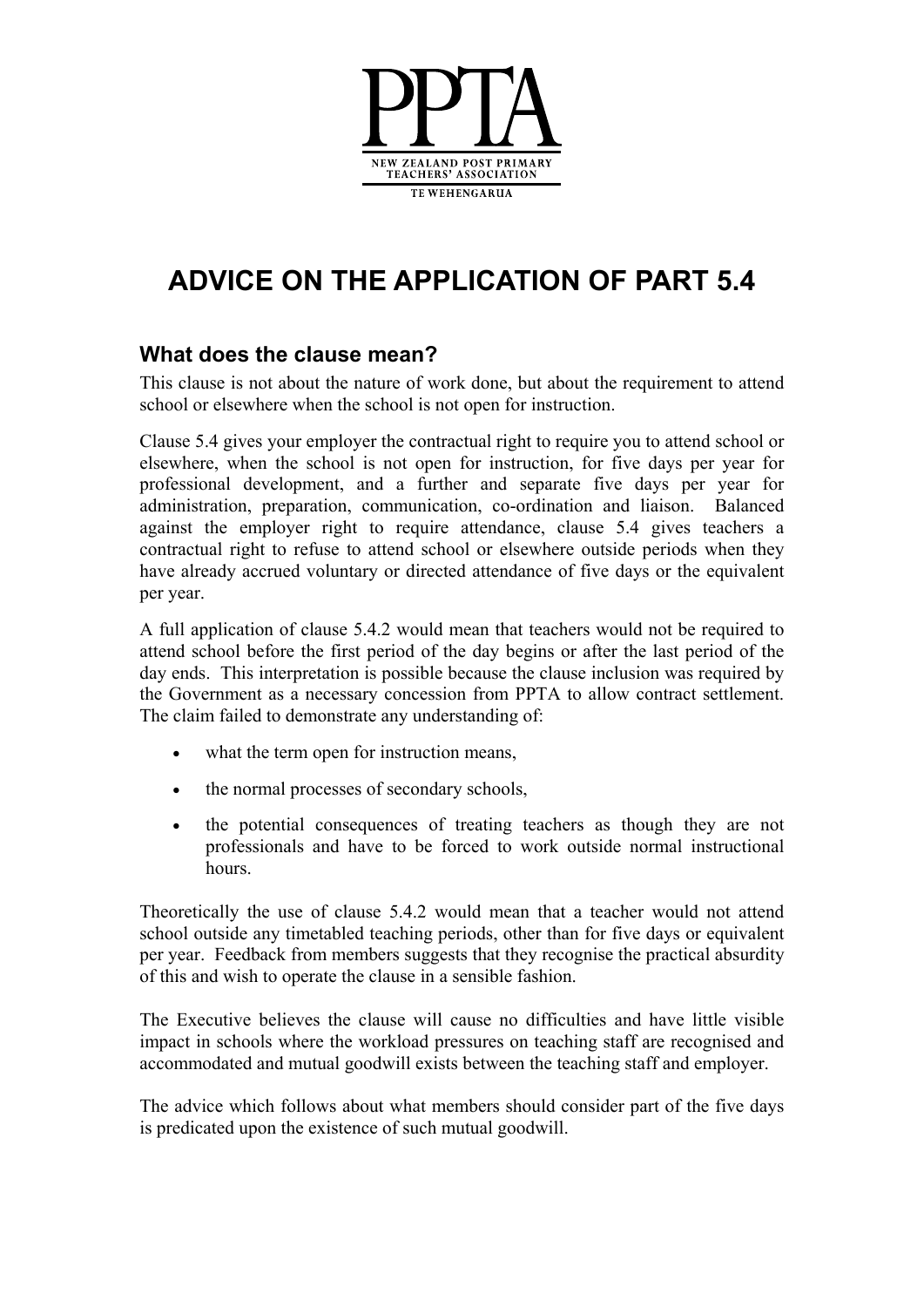

# **ADVICE ON THE APPLICATION OF PART 5.4**

### **What does the clause mean?**

This clause is not about the nature of work done, but about the requirement to attend school or elsewhere when the school is not open for instruction.

Clause 5.4 gives your employer the contractual right to require you to attend school or elsewhere, when the school is not open for instruction, for five days per year for professional development, and a further and separate five days per year for administration, preparation, communication, co-ordination and liaison. Balanced against the employer right to require attendance, clause 5.4 gives teachers a contractual right to refuse to attend school or elsewhere outside periods when they have already accrued voluntary or directed attendance of five days or the equivalent per year.

A full application of clause 5.4.2 would mean that teachers would not be required to attend school before the first period of the day begins or after the last period of the day ends. This interpretation is possible because the clause inclusion was required by the Government as a necessary concession from PPTA to allow contract settlement. The claim failed to demonstrate any understanding of:

- what the term open for instruction means,
- the normal processes of secondary schools,
- the potential consequences of treating teachers as though they are not professionals and have to be forced to work outside normal instructional hours.

Theoretically the use of clause 5.4.2 would mean that a teacher would not attend school outside any timetabled teaching periods, other than for five days or equivalent per year. Feedback from members suggests that they recognise the practical absurdity of this and wish to operate the clause in a sensible fashion.

The Executive believes the clause will cause no difficulties and have little visible impact in schools where the workload pressures on teaching staff are recognised and accommodated and mutual goodwill exists between the teaching staff and employer.

The advice which follows about what members should consider part of the five days is predicated upon the existence of such mutual goodwill.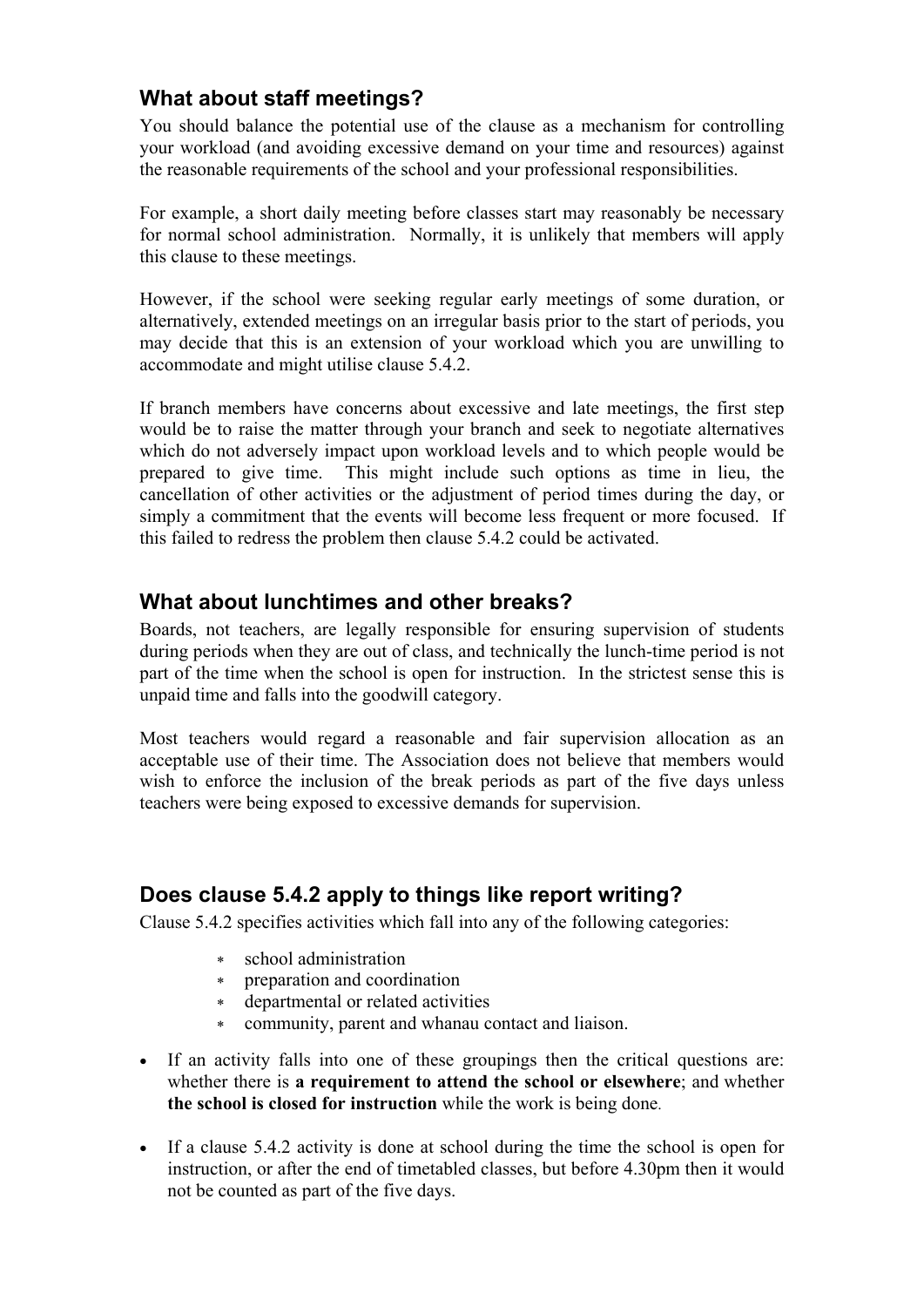### **What about staff meetings?**

You should balance the potential use of the clause as a mechanism for controlling your workload (and avoiding excessive demand on your time and resources) against the reasonable requirements of the school and your professional responsibilities.

For example, a short daily meeting before classes start may reasonably be necessary for normal school administration. Normally, it is unlikely that members will apply this clause to these meetings.

However, if the school were seeking regular early meetings of some duration, or alternatively, extended meetings on an irregular basis prior to the start of periods, you may decide that this is an extension of your workload which you are unwilling to accommodate and might utilise clause 5.4.2.

If branch members have concerns about excessive and late meetings, the first step would be to raise the matter through your branch and seek to negotiate alternatives which do not adversely impact upon workload levels and to which people would be prepared to give time. This might include such options as time in lieu, the cancellation of other activities or the adjustment of period times during the day, or simply a commitment that the events will become less frequent or more focused. If this failed to redress the problem then clause 5.4.2 could be activated.

### **What about lunchtimes and other breaks?**

Boards, not teachers, are legally responsible for ensuring supervision of students during periods when they are out of class, and technically the lunch-time period is not part of the time when the school is open for instruction. In the strictest sense this is unpaid time and falls into the goodwill category.

Most teachers would regard a reasonable and fair supervision allocation as an acceptable use of their time. The Association does not believe that members would wish to enforce the inclusion of the break periods as part of the five days unless teachers were being exposed to excessive demands for supervision.

### **Does clause 5.4.2 apply to things like report writing?**

Clause 5.4.2 specifies activities which fall into any of the following categories:

- ∗ school administration
- ∗ preparation and coordination
- departmental or related activities
- ∗ community, parent and whanau contact and liaison.
- If an activity falls into one of these groupings then the critical questions are: whether there is **a requirement to attend the school or elsewhere**; and whether **the school is closed for instruction** while the work is being done.
- If a clause 5.4.2 activity is done at school during the time the school is open for instruction, or after the end of timetabled classes, but before 4.30pm then it would not be counted as part of the five days.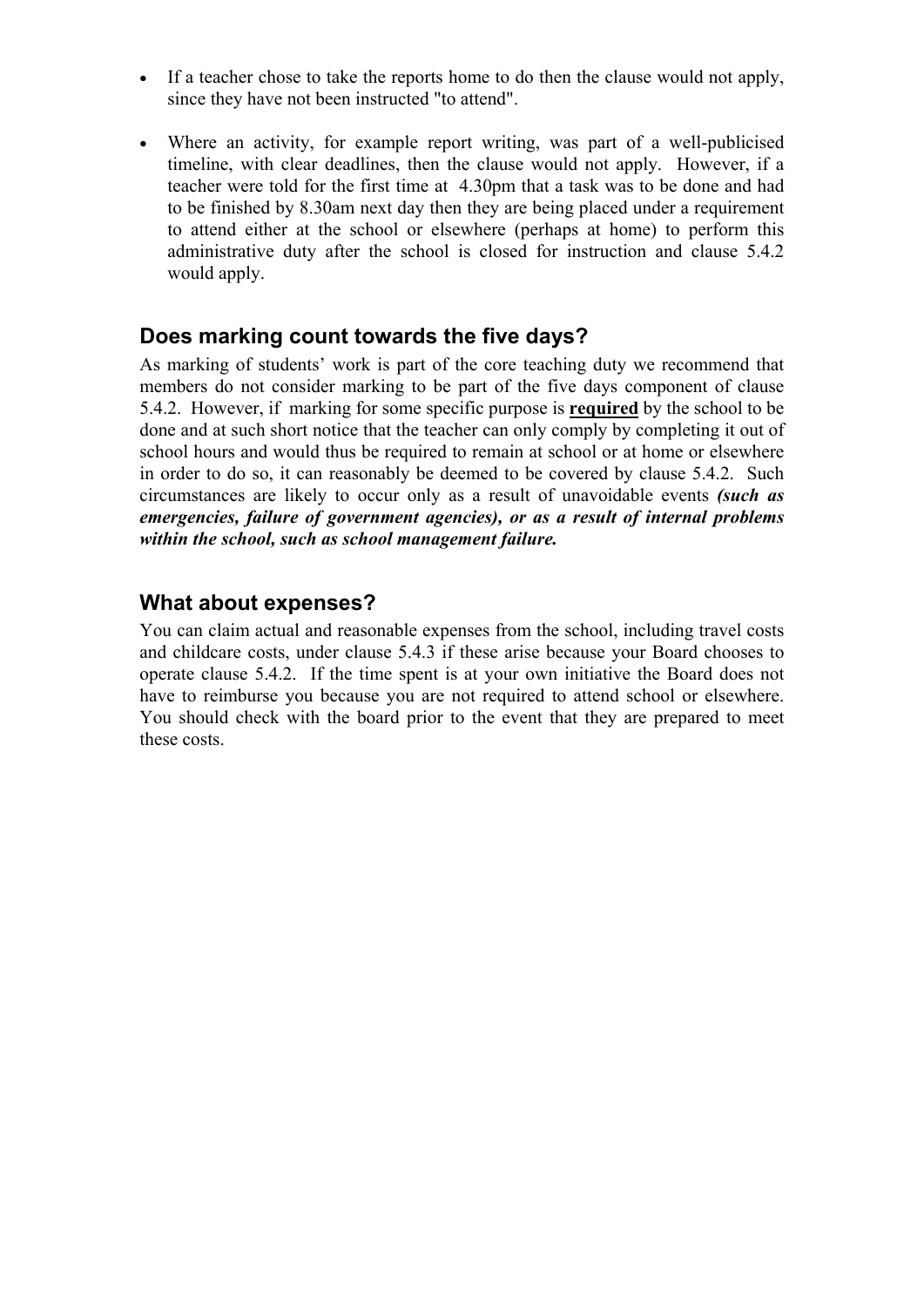- If a teacher chose to take the reports home to do then the clause would not apply, since they have not been instructed "to attend".
- Where an activity, for example report writing, was part of a well-publicised timeline, with clear deadlines, then the clause would not apply. However, if a teacher were told for the first time at 4.30pm that a task was to be done and had to be finished by 8.30am next day then they are being placed under a requirement to attend either at the school or elsewhere (perhaps at home) to perform this administrative duty after the school is closed for instruction and clause 5.4.2 would apply.

#### **Does marking count towards the five days?**

As marking of students' work is part of the core teaching duty we recommend that members do not consider marking to be part of the five days component of clause 5.4.2. However, if marking for some specific purpose is **required** by the school to be done and at such short notice that the teacher can only comply by completing it out of school hours and would thus be required to remain at school or at home or elsewhere in order to do so, it can reasonably be deemed to be covered by clause 5.4.2. Such circumstances are likely to occur only as a result of unavoidable events *(such as emergencies, failure of government agencies), or as a result of internal problems within the school, such as school management failure.* 

### **What about expenses?**

You can claim actual and reasonable expenses from the school, including travel costs and childcare costs, under clause 5.4.3 if these arise because your Board chooses to operate clause 5.4.2. If the time spent is at your own initiative the Board does not have to reimburse you because you are not required to attend school or elsewhere. You should check with the board prior to the event that they are prepared to meet these costs.